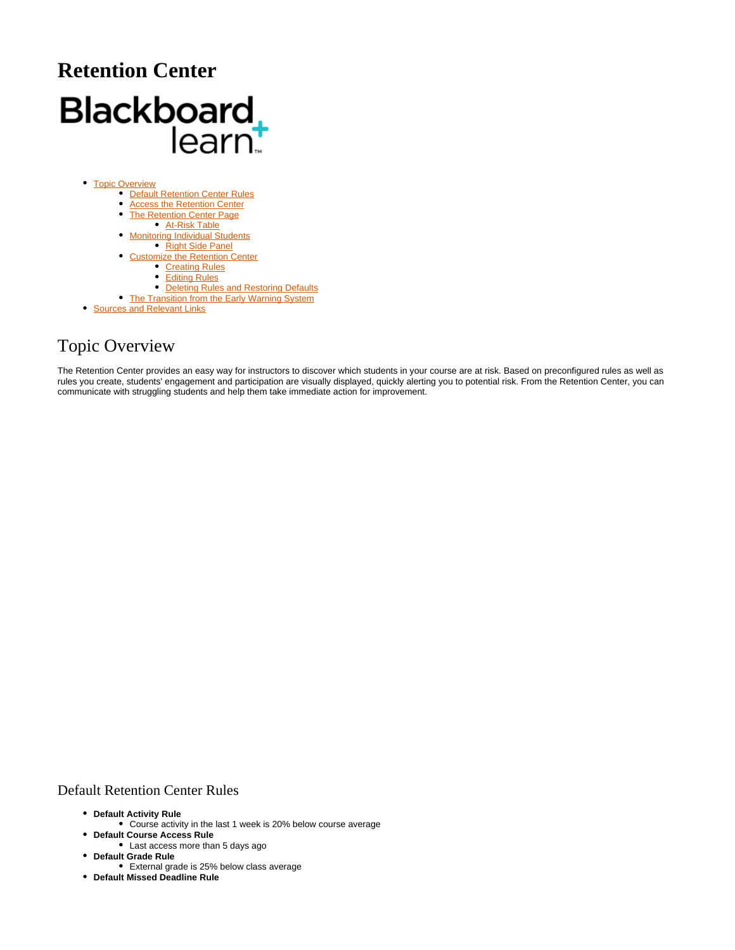# **Retention Center** Blackboard<br>learnt

- [Topic Overview](#page-0-0)
	- [Default Retention Center Rules](#page-0-1)
	- [Access the Retention Center](#page-1-0)
	- [The Retention Center Page](#page-1-1)
		- **[At-Risk Table](#page-1-2)**
	- **[Monitoring Individual Students](#page-2-0)**
	- [Right Side Panel](#page-3-0) [Customize the Retention Center](#page-3-1)
		- - **[Creating Rules](#page-3-2)** [Editing Rules](#page-5-0)
			-
	- [Deleting Rules and Restoring Defaults](#page-5-1) • [The Transition from the Early Warning System](#page-5-2)
- **[Sources and Relevant Links](#page-5-3)**

# <span id="page-0-0"></span>Topic Overview

The Retention Center provides an easy way for instructors to discover which students in your course are at risk. Based on preconfigured rules as well as rules you create, students' engagement and participation are visually displayed, quickly alerting you to potential risk. From the Retention Center, you can communicate with struggling students and help them take immediate action for improvement.

## <span id="page-0-1"></span>Default Retention Center Rules

- **Default Activity Rule**
	- Course activity in the last 1 week is 20% below course average
- **Default Course Access Rule**
- Last access more than 5 days ago **Default Grade Rule**
- External grade is 25% below class average
- **Default Missed Deadline Rule**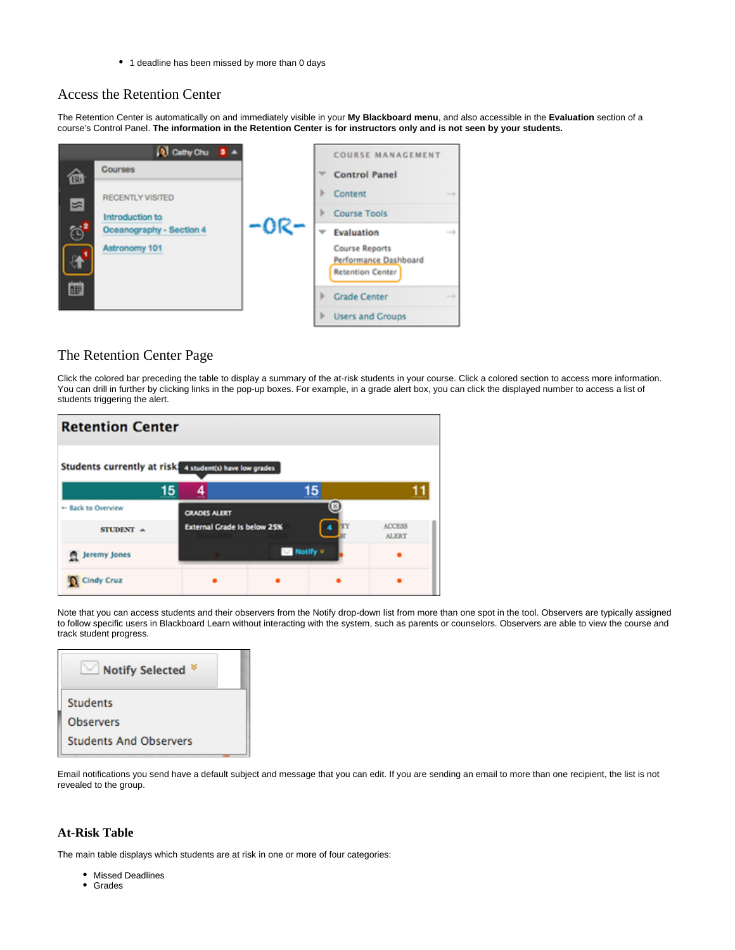• 1 deadline has been missed by more than 0 days

## <span id="page-1-0"></span>Access the Retention Center

The Retention Center is automatically on and immediately visible in your **My Blackboard menu**, and also accessible in the **Evaluation** section of a course's Control Panel. **The information in the Retention Center is for instructors only and is not seen by your students.**



## <span id="page-1-1"></span>The Retention Center Page

Click the colored bar preceding the table to display a summary of the at-risk students in your course. Click a colored section to access more information. You can drill in further by clicking links in the pop-up boxes. For example, in a grade alert box, you can click the displayed number to access a list of students triggering the alert.

| <b>Retention Center</b>                                 |                     |                                    |  |  |  |  |
|---------------------------------------------------------|---------------------|------------------------------------|--|--|--|--|
| Students currently at risk 4 student(s) have low grades |                     |                                    |  |  |  |  |
|                                                         | 15                  | 15                                 |  |  |  |  |
| + Back to Overview                                      | <b>GRADES ALERT</b> | (×                                 |  |  |  |  |
| STUDENT $\triangle$                                     |                     | <b>External Grade Is below 25%</b> |  |  |  |  |
| <b>Jeremy Jones</b>                                     |                     | Motify *                           |  |  |  |  |
| <b>Cindy Cruz</b>                                       |                     |                                    |  |  |  |  |

Note that you can access students and their observers from the Notify drop-down list from more than one spot in the tool. Observers are typically assigned to follow specific users in Blackboard Learn without interacting with the system, such as parents or counselors. Observers are able to view the course and track student progress.

| <b>Notify Selected</b>        |
|-------------------------------|
| <b>Students</b>               |
| <b>Observers</b>              |
| <b>Students And Observers</b> |

Email notifications you send have a default subject and message that you can edit. If you are sending an email to more than one recipient, the list is not revealed to the group.

## <span id="page-1-2"></span>**At-Risk Table**

The main table displays which students are at risk in one or more of four categories:

- Missed Deadlines
- Grades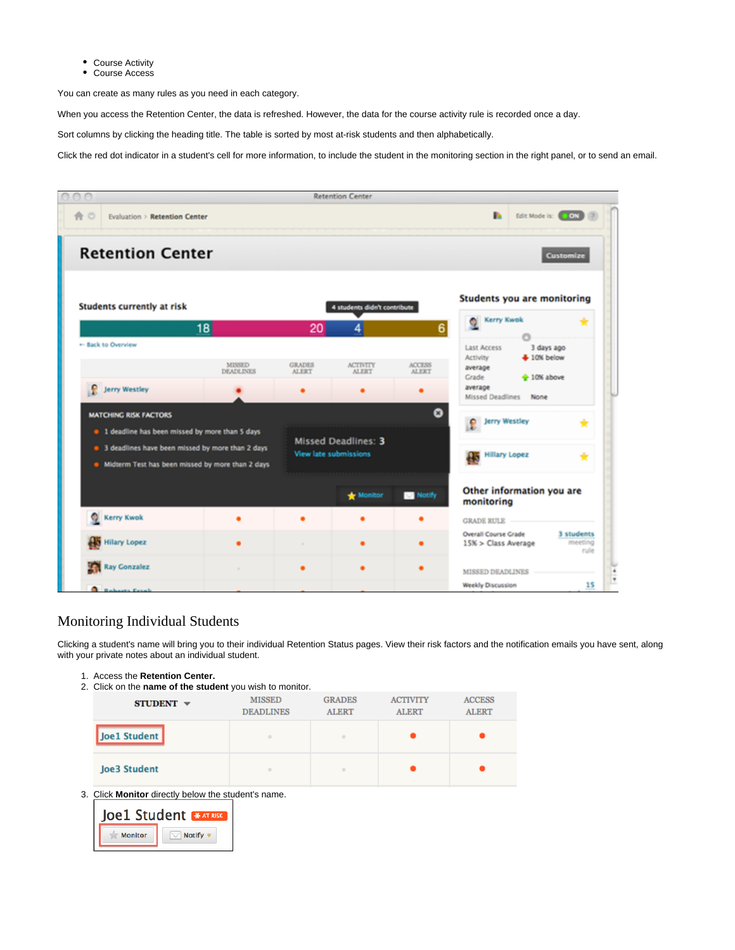- Course Activity
- Course Access

You can create as many rules as you need in each category.

When you access the Retention Center, the data is refreshed. However, the data for the course activity rule is recorded once a day.

Sort columns by clicking the heading title. The table is sorted by most at-risk students and then alphabetically.

Click the red dot indicator in a student's cell for more information, to include the student in the monitoring section in the right panel, or to send an email.



## <span id="page-2-0"></span>Monitoring Individual Students

Clicking a student's name will bring you to their individual Retention Status pages. View their risk factors and the notification emails you have sent, along with your private notes about an individual student.

- 1. Access the **Retention Center.**
- 2. Click on the **name of the student** you wish to monitor.

| $STUDENT$ $\sim$    | <b>MISSED</b><br><b>DEADLINES</b> | <b>GRADES</b><br><b>ALERT</b> | <b>ACTIVITY</b><br><b>ALERT</b> | <b>ACCESS</b><br><b>ALERT</b> |
|---------------------|-----------------------------------|-------------------------------|---------------------------------|-------------------------------|
| Joe1 Student        | ٠                                 | $\blacksquare$                |                                 |                               |
| <b>Joe3 Student</b> | ٠                                 | $\blacksquare$                |                                 |                               |

3. Click **Monitor** directly below the student's name.

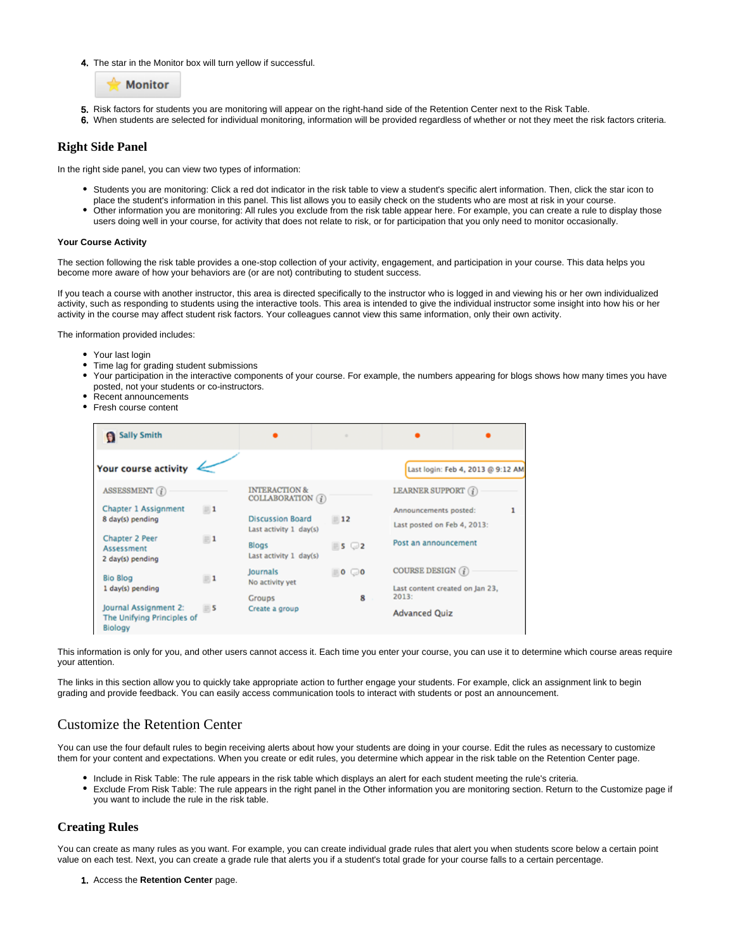4. The star in the Monitor box will turn yellow if successful.



- 5. Risk factors for students you are monitoring will appear on the right-hand side of the Retention Center next to the Risk Table.
- 6. When students are selected for individual monitoring, information will be provided regardless of whether or not they meet the risk factors criteria.

## <span id="page-3-0"></span>**Right Side Panel**

In the right side panel, you can view two types of information:

- Students you are monitoring: Click a red dot indicator in the risk table to view a student's specific alert information. Then, click the star icon to place the student's information in this panel. This list allows you to easily check on the students who are most at risk in your course.
- Other information you are monitoring: All rules you exclude from the risk table appear here. For example, you can create a rule to display those users doing well in your course, for activity that does not relate to risk, or for participation that you only need to monitor occasionally.

#### **Your Course Activity**

The section following the risk table provides a one-stop collection of your activity, engagement, and participation in your course. This data helps you become more aware of how your behaviors are (or are not) contributing to student success.

If you teach a course with another instructor, this area is directed specifically to the instructor who is logged in and viewing his or her own individualized activity, such as responding to students using the interactive tools. This area is intended to give the individual instructor some insight into how his or her activity in the course may affect student risk factors. Your colleagues cannot view this same information, only their own activity.

The information provided includes:

- Your last login
- Time lag for grading student submissions
- Your participation in the interactive components of your course. For example, the numbers appearing for blogs shows how many times you have posted, not your students or co-instructors.
- Recent announcements
- Fresh course content

| <b>Sally Smith</b>                                             |                  |                                                   | ٠                       |                                                      |                                   |   |
|----------------------------------------------------------------|------------------|---------------------------------------------------|-------------------------|------------------------------------------------------|-----------------------------------|---|
| <b>Your course activity</b>                                    |                  |                                                   |                         |                                                      | Last login: Feb 4, 2013 @ 9:12 AM |   |
| ASSESSMENT $(i)$                                               |                  | <b>INTERACTION &amp;</b><br>COLLABORATION $(i)$   |                         | LEARNER SUPPORT (j)                                  |                                   |   |
| <b>Chapter 1 Assignment</b><br>8 day(s) pending                | $\blacksquare$ 1 | <b>Discussion Board</b><br>Last activity 1 day(s) | $-12$                   | Announcements posted:<br>Last posted on Feb 4, 2013: |                                   | 1 |
| <b>Chapter 2 Peer</b><br>Assessment<br>2 day(s) pending        | $\blacksquare$ 1 | <b>Blogs</b><br>Last activity 1 day(s)            | $5\degree$              | Post an announcement                                 |                                   |   |
| <b>Bio Blog</b>                                                | $\blacksquare$ 1 | Journals<br>No activity yet                       | $\equiv$ 0 $\bigcirc$ 0 | COURSE DESIGN $(i)$                                  |                                   |   |
| 1 day(s) pending                                               |                  | Groups                                            | 8                       | Last content created on Jan 23,<br>2013:             |                                   |   |
| Journal Assignment 2:<br>The Unifying Principles of<br>Biology | $= 5$            | Create a group                                    |                         | <b>Advanced Quiz</b>                                 |                                   |   |

This information is only for you, and other users cannot access it. Each time you enter your course, you can use it to determine which course areas require your attention.

The links in this section allow you to quickly take appropriate action to further engage your students. For example, click an assignment link to begin grading and provide feedback. You can easily access communication tools to interact with students or post an announcement.

## <span id="page-3-1"></span>Customize the Retention Center

You can use the four default rules to begin receiving alerts about how your students are doing in your course. Edit the rules as necessary to customize them for your content and expectations. When you create or edit rules, you determine which appear in the risk table on the Retention Center page.

- Include in Risk Table: The rule appears in the risk table which displays an alert for each student meeting the rule's criteria.
- Exclude From Risk Table: The rule appears in the right panel in the Other information you are monitoring section. Return to the Customize page if you want to include the rule in the risk table.

## <span id="page-3-2"></span>**Creating Rules**

You can create as many rules as you want. For example, you can create individual grade rules that alert you when students score below a certain point value on each test. Next, you can create a grade rule that alerts you if a student's total grade for your course falls to a certain percentage.

1. Access the **Retention Center** page.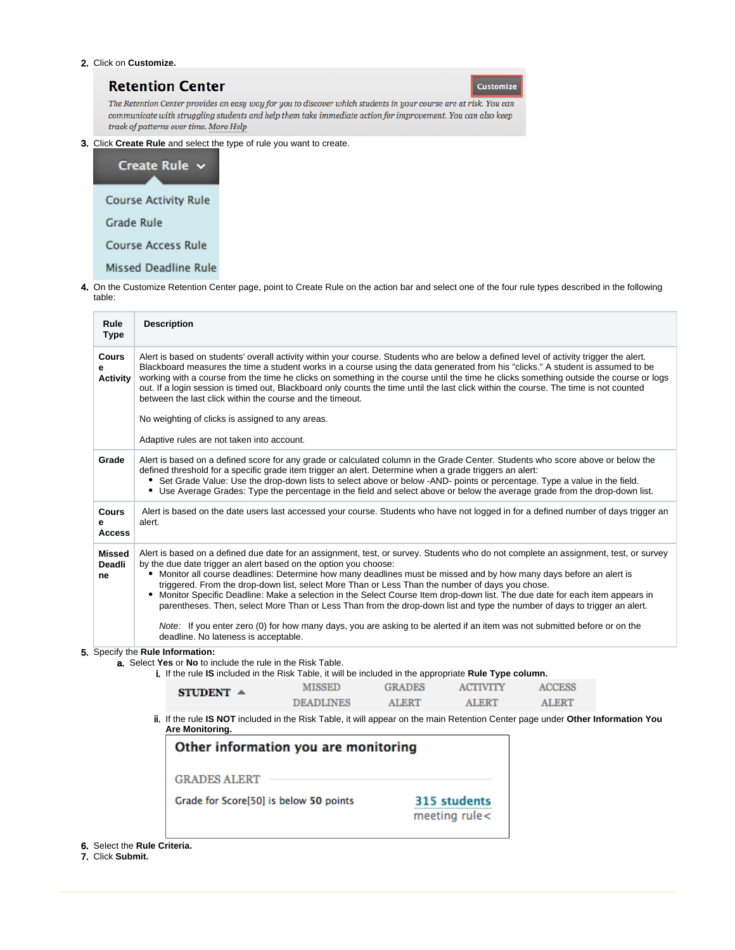#### 2. Click on **Customize.**

## **Retention Center**

**Customize** 

The Retention Center provides an easy way for you to discover which students in your course are at risk. You can communicate with struggling students and help them take immediate action for improvement. You can also keep track of patterns over time. More Help

3. Click **Create Rule** and select the type of rule you want to create.



4. On the Customize Retention Center page, point to Create Rule on the action bar and select one of the four rule types described in the following table:

| Rule<br><b>Type</b>           | <b>Description</b>                                                                                                                                                                                                                                                                                                                                                                                                                                                                                                                                                                                                                                                                                                                                                                                                                                                    |                  |               |                                  |               |  |  |
|-------------------------------|-----------------------------------------------------------------------------------------------------------------------------------------------------------------------------------------------------------------------------------------------------------------------------------------------------------------------------------------------------------------------------------------------------------------------------------------------------------------------------------------------------------------------------------------------------------------------------------------------------------------------------------------------------------------------------------------------------------------------------------------------------------------------------------------------------------------------------------------------------------------------|------------------|---------------|----------------------------------|---------------|--|--|
| Cours<br>e<br><b>Activity</b> | Alert is based on students' overall activity within your course. Students who are below a defined level of activity trigger the alert.<br>Blackboard measures the time a student works in a course using the data generated from his "clicks." A student is assumed to be<br>working with a course from the time he clicks on something in the course until the time he clicks something outside the course or logs<br>out. If a login session is timed out, Blackboard only counts the time until the last click within the course. The time is not counted<br>between the last click within the course and the timeout.<br>No weighting of clicks is assigned to any areas.                                                                                                                                                                                         |                  |               |                                  |               |  |  |
|                               | Adaptive rules are not taken into account.                                                                                                                                                                                                                                                                                                                                                                                                                                                                                                                                                                                                                                                                                                                                                                                                                            |                  |               |                                  |               |  |  |
| Grade                         | Alert is based on a defined score for any grade or calculated column in the Grade Center. Students who score above or below the<br>defined threshold for a specific grade item trigger an alert. Determine when a grade triggers an alert:<br>• Set Grade Value: Use the drop-down lists to select above or below -AND- points or percentage. Type a value in the field.<br>• Use Average Grades: Type the percentage in the field and select above or below the average grade from the drop-down list.                                                                                                                                                                                                                                                                                                                                                               |                  |               |                                  |               |  |  |
| Cours<br>e<br><b>Access</b>   | Alert is based on the date users last accessed your course. Students who have not logged in for a defined number of days trigger an<br>alert.                                                                                                                                                                                                                                                                                                                                                                                                                                                                                                                                                                                                                                                                                                                         |                  |               |                                  |               |  |  |
| Missed<br><b>Deadli</b><br>ne | Alert is based on a defined due date for an assignment, test, or survey. Students who do not complete an assignment, test, or survey<br>by the due date trigger an alert based on the option you choose:<br>• Monitor all course deadlines: Determine how many deadlines must be missed and by how many days before an alert is<br>triggered. From the drop-down list, select More Than or Less Than the number of days you chose.<br>• Monitor Specific Deadline: Make a selection in the Select Course Item drop-down list. The due date for each item appears in<br>parentheses. Then, select More Than or Less Than from the drop-down list and type the number of days to trigger an alert.<br>Note: If you enter zero (0) for how many days, you are asking to be alerted if an item was not submitted before or on the<br>deadline. No lateness is acceptable. |                  |               |                                  |               |  |  |
|                               | Specify the Rule Information:<br>a. Select Yes or No to include the rule in the Risk Table.<br>i. If the rule IS included in the Risk Table, it will be included in the appropriate Rule Type column.                                                                                                                                                                                                                                                                                                                                                                                                                                                                                                                                                                                                                                                                 |                  |               |                                  |               |  |  |
|                               | STUDENT $\triangle$                                                                                                                                                                                                                                                                                                                                                                                                                                                                                                                                                                                                                                                                                                                                                                                                                                                   | <b>MISSED</b>    | <b>GRADES</b> | <b>ACTIVITY</b>                  | <b>ACCESS</b> |  |  |
|                               |                                                                                                                                                                                                                                                                                                                                                                                                                                                                                                                                                                                                                                                                                                                                                                                                                                                                       | <b>DEADLINES</b> | <b>ALERT</b>  | <b>ALERT</b>                     | <b>ALERT</b>  |  |  |
|                               | ii. If the rule IS NOT included in the Risk Table, it will appear on the main Retention Center page under Other Information You<br>Are Monitoring.                                                                                                                                                                                                                                                                                                                                                                                                                                                                                                                                                                                                                                                                                                                    |                  |               |                                  |               |  |  |
|                               | Other information you are monitoring<br><b>GRADES ALERT</b>                                                                                                                                                                                                                                                                                                                                                                                                                                                                                                                                                                                                                                                                                                                                                                                                           |                  |               |                                  |               |  |  |
|                               | Grade for Score[50] is below 50 points                                                                                                                                                                                                                                                                                                                                                                                                                                                                                                                                                                                                                                                                                                                                                                                                                                |                  |               | 315 students<br>meeting rule $<$ |               |  |  |
|                               |                                                                                                                                                                                                                                                                                                                                                                                                                                                                                                                                                                                                                                                                                                                                                                                                                                                                       |                  |               |                                  |               |  |  |

6. Select the **Rule Criteria.**

7. Click **Submit.**

5.